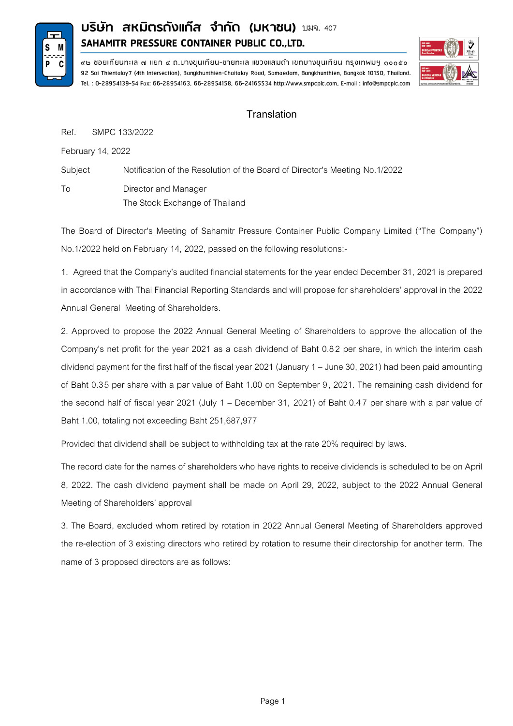

## **บริษัท สหมิตรกังแก๊ส จำกัด (มหาชน) มมจ. 407** SAHAMITR PRESSURE CONTAINER PUBLIC CO., LTD.



๙๒ ซอยเทียนทะเล ๗ แยก ๔ ถ.บางขุนเทียน-ซายทะเล แขวงแสมดำ เขตบางขุนเทียน กรุงเทพมฯ ๑๐๑๕๐ 92 Soi Thientalay7 (4th Intersection), Bangkhunthien-Chaitalay Road, Samaedam, Bangkhunthien, Bangkok 10150, Thailand. Tel.: 0-28954139-54 Fax: 66-28954163, 66-28954158, 66-24165534 http://www.smpcplc.com, E-mail: info@smpcplc.com

## **Translation**

Ref. SMPC 133/2022

February 14, 2022

Subject Notification of the Resolution of the Board of Director's Meeting No.1/2022 To Director and Manager The Stock Exchange of Thailand

The Board of Director's Meeting of Sahamitr Pressure Container Public Company Limited ("The Company") No.1/2022 held on February 14, 2022, passed on the following resolutions:-

1. Agreed that the Company's audited financial statements for the year ended December 31, 2021 is prepared in accordance with Thai Financial Reporting Standards and will propose for shareholders' approval in the 2022 Annual General Meeting of Shareholders.

2. Approved to propose the 2022 Annual General Meeting of Shareholders to approve the allocation of the Company's net profit for the year 2021 as a cash dividend of Baht 0.82 per share, in which the interim cash dividend payment for the first half of the fiscal year 2021(January 1 – June 30, 2021) had been paid amounting of Baht 0.35 per share with a par value of Baht 1.00 on September 9, 2021. The remaining cash dividend for the second half of fiscal year 2021 (July 1 – December 31, 2021) of Baht 0.47 per share with a par value of Baht 1.00, totaling not exceeding Baht 251,687,977

Provided that dividend shall be subject to withholding tax at the rate 20% required by laws.

The record date for the names of shareholders who have rights to receive dividends is scheduled to be on April 8, 2022. The cash dividend payment shall be made on April 29, 2022, subject to the 2022 Annual General Meeting of Shareholders' approval

3. The Board, excluded whom retired by rotation in 2022 Annual General Meeting of Shareholders approved the re-election of 3 existing directors who retired by rotation to resume their directorship for another term. The name of 3 proposed directors are as follows: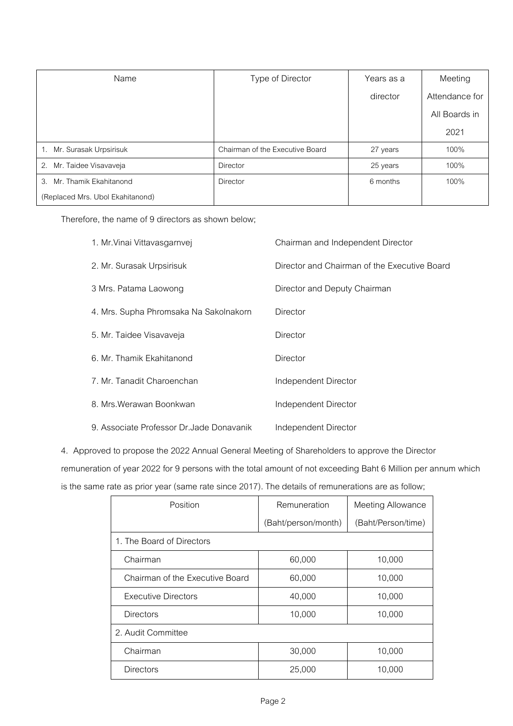| Name                             | Type of Director                | Years as a | Meeting        |
|----------------------------------|---------------------------------|------------|----------------|
|                                  |                                 | director   | Attendance for |
|                                  |                                 |            | All Boards in  |
|                                  |                                 |            | 2021           |
| 1. Mr. Surasak Urpsirisuk        | Chairman of the Executive Board | 27 years   | 100%           |
| 2. Mr. Taidee Visavaveja         | <b>Director</b>                 | 25 years   | 100%           |
| 3. Mr. Thamik Ekahitanond        | <b>Director</b>                 | 6 months   | 100%           |
| (Replaced Mrs. Ubol Ekahitanond) |                                 |            |                |

Therefore, the name of 9 directors as shown below;

| 1. Mr. Vinai Vittavasgarnvej              | Chairman and Independent Director            |
|-------------------------------------------|----------------------------------------------|
| 2. Mr. Surasak Urpsirisuk                 | Director and Chairman of the Executive Board |
| 3 Mrs. Patama Laowong                     | Director and Deputy Chairman                 |
| 4. Mrs. Supha Phromsaka Na Sakolnakorn    | Director                                     |
| 5. Mr. Taidee Visavaveja                  | Director                                     |
| 6. Mr. Thamik Ekahitanond                 | Director                                     |
| 7. Mr. Tanadit Charoenchan                | Independent Director                         |
| 8. Mrs. Werawan Boonkwan                  | Independent Director                         |
| 9. Associate Professor Dr. Jade Donavanik | Independent Director                         |

4. Approved to propose the 2022 Annual General Meeting of Shareholders to approve the Director remuneration of year 2022 for 9 persons with the total amount of not exceeding Baht 6 Million per annum which is the same rate as prior year (same rate since 2017). The details of remunerations are as follow;

| Position                        | Remuneration        | <b>Meeting Allowance</b> |  |  |
|---------------------------------|---------------------|--------------------------|--|--|
|                                 | (Baht/person/month) | (Baht/Person/time)       |  |  |
| 1. The Board of Directors       |                     |                          |  |  |
| Chairman                        | 60,000              | 10,000                   |  |  |
| Chairman of the Executive Board | 60,000              | 10,000                   |  |  |
| <b>Executive Directors</b>      | 40,000              | 10,000                   |  |  |
| <b>Directors</b>                | 10,000              | 10,000                   |  |  |
| 2. Audit Committee              |                     |                          |  |  |
| Chairman                        | 30,000              | 10,000                   |  |  |
| <b>Directors</b>                | 25,000              | 10,000                   |  |  |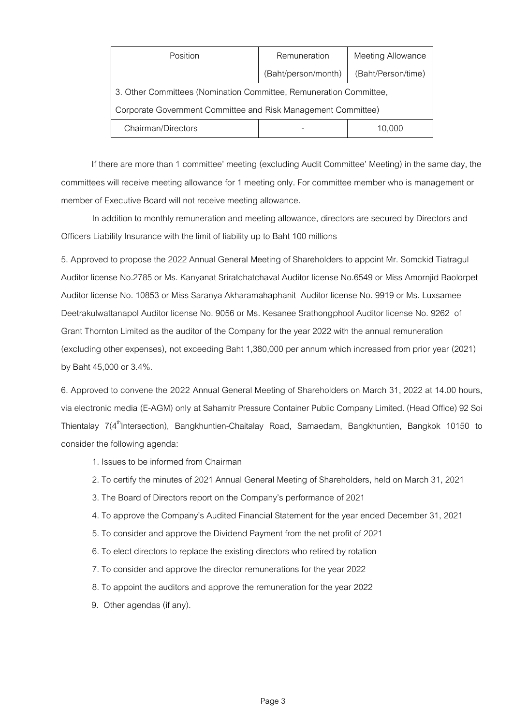| Position                                                           | Remuneration        | <b>Meeting Allowance</b> |  |  |  |
|--------------------------------------------------------------------|---------------------|--------------------------|--|--|--|
|                                                                    | (Baht/person/month) | (Baht/Person/time)       |  |  |  |
| 3. Other Committees (Nomination Committee, Remuneration Committee, |                     |                          |  |  |  |
| Corporate Government Committee and Risk Management Committee)      |                     |                          |  |  |  |
| Chairman/Directors                                                 |                     | 10.000                   |  |  |  |

If there are more than 1 committee' meeting (excluding Audit Committee' Meeting) in the same day, the committees will receive meeting allowance for 1 meeting only. For committee member who is management or member of Executive Board will not receive meeting allowance.

In addition to monthly remuneration and meeting allowance, directors are secured by Directors and Officers Liability Insurance with the limit of liability up to Baht 100 millions

5. Approved to propose the 2022 Annual General Meeting of Shareholders to appoint Mr. Somckid Tiatragul Auditor license No.2785 or Ms. Kanyanat Sriratchatchaval Auditor license No.6549 or Miss [Amornjid Baolorpet](https://www.grantthornton.co.th/meet-our-people/amornjid-baolorpet/) Auditor license No.10853 or Miss Saranya Akharamahaphanit Auditor license No.9919or Ms. Luxsamee Deetrakulwattanapol Auditor license No.9056 or Ms. Kesanee Srathongphool Auditor license No. 9262 of Grant Thornton Limited as the auditor of the Company for the year 2022 with the annual remuneration (excluding other expenses), not exceeding Baht1,380,000 per annum which increased from prior year (2021) by Baht 45,000 or 3.4%.

6. Approved to convene the 2022 Annual General Meeting of Shareholders on March 31, 2022 at 14.00 hours, via electronic media (E-AGM) only at Sahamitr Pressure Container Public Company Limited. (Head Office) 92 Soi Thientalay 7(4<sup>th</sup>Intersection), Bangkhuntien-Chaitalay Road, Samaedam, Bangkhuntien, Bangkok 10150 to consider the following agenda:

- 1. Issues to be informed from Chairman
- 2. To certify the minutes of 2021 Annual General Meeting of Shareholders, held on March 31, 2021
- 3. The Board of Directors report on the Company's performance of 2021
- 4. To approve the Company's Audited Financial Statement for the year ended December 31, 2021
- 5. To consider and approve the Dividend Payment from the net profit of 2021
- 6. To elect directors to replace the existing directors who retired by rotation
- 7. To consider and approve the director remunerations for the year 2022
- 8. To appoint the auditors and approve the remuneration for the year 2022
- 9. Other agendas (if any).